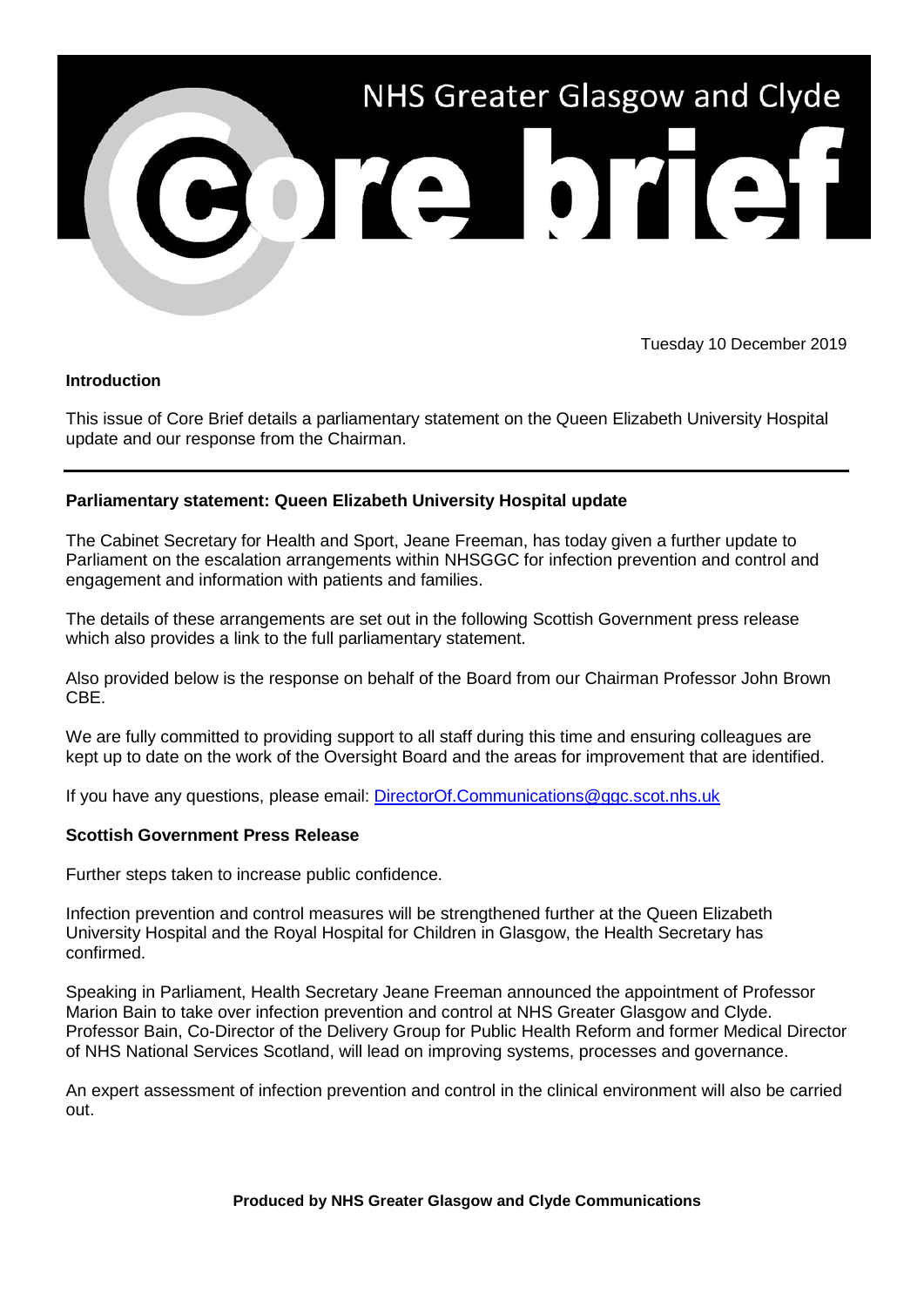

Tuesday 10 December 2019

## **Introduction**

This issue of Core Brief details a parliamentary statement on the Queen Elizabeth University Hospital update and our response from the Chairman.

## **Parliamentary statement: Queen Elizabeth University Hospital update**

The Cabinet Secretary for Health and Sport, Jeane Freeman, has today given a further update to Parliament on the escalation arrangements within NHSGGC for infection prevention and control and engagement and information with patients and families.

The details of these arrangements are set out in the following Scottish Government press release which also provides a link to the full parliamentary statement.

Also provided below is the response on behalf of the Board from our Chairman Professor John Brown CBE.

We are fully committed to providing support to all staff during this time and ensuring colleagues are kept up to date on the work of the Oversight Board and the areas for improvement that are identified.

If you have any questions, please email: [DirectorOf.Communications@ggc.scot.nhs.uk](mailto:DirectorOf.Communications@ggc.scot.nhs.uk)

## **Scottish Government Press Release**

Further steps taken to increase public confidence.

Infection prevention and control measures will be strengthened further at the Queen Elizabeth University Hospital and the Royal Hospital for Children in Glasgow, the Health Secretary has confirmed.

Speaking in Parliament, Health Secretary Jeane Freeman announced the appointment of Professor Marion Bain to take over infection prevention and control at NHS Greater Glasgow and Clyde. Professor Bain, Co-Director of the Delivery Group for Public Health Reform and former Medical Director of NHS National Services Scotland, will lead on improving systems, processes and governance.

An expert assessment of infection prevention and control in the clinical environment will also be carried out.

**Produced by NHS Greater Glasgow and Clyde Communications**